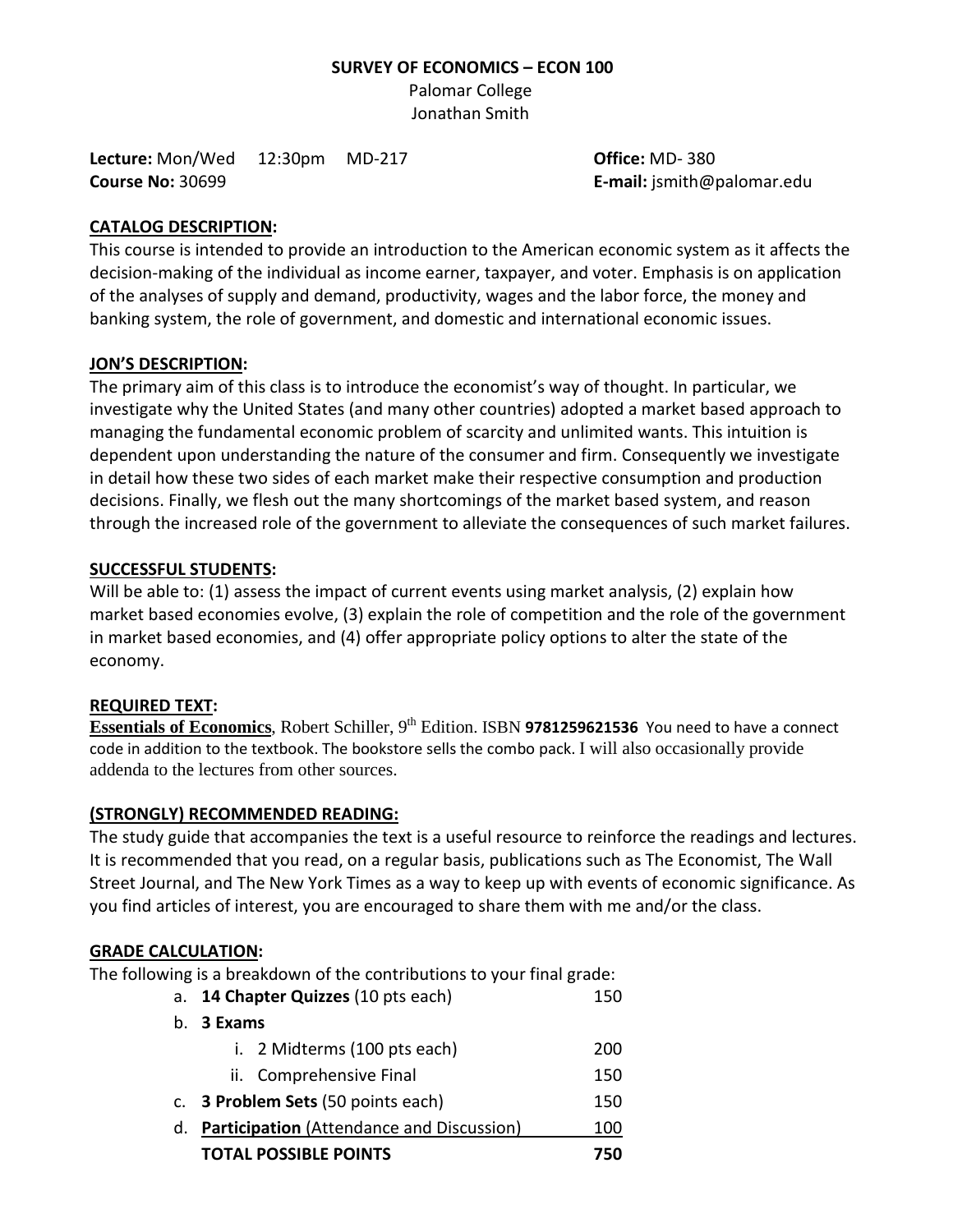#### **SURVEY OF ECONOMICS – ECON 100**

Palomar College Jonathan Smith

**Lecture:** Mon/Wed 12:30pm MD-217 **Office:** MD- 380 **Course No:** 30699 **E-mail:** jsmith@palomar.edu

#### **CATALOG DESCRIPTION:**

This course is intended to provide an introduction to the American economic system as it affects the decision-making of the individual as income earner, taxpayer, and voter. Emphasis is on application of the analyses of supply and demand, productivity, wages and the labor force, the money and banking system, the role of government, and domestic and international economic issues.

### **JON'S DESCRIPTION:**

The primary aim of this class is to introduce the economist's way of thought. In particular, we investigate why the United States (and many other countries) adopted a market based approach to managing the fundamental economic problem of scarcity and unlimited wants. This intuition is dependent upon understanding the nature of the consumer and firm. Consequently we investigate in detail how these two sides of each market make their respective consumption and production decisions. Finally, we flesh out the many shortcomings of the market based system, and reason through the increased role of the government to alleviate the consequences of such market failures.

#### **SUCCESSFUL STUDENTS:**

Will be able to: (1) assess the impact of current events using market analysis, (2) explain how market based economies evolve, (3) explain the role of competition and the role of the government in market based economies, and (4) offer appropriate policy options to alter the state of the economy.

#### **REQUIRED TEXT:**

**Essentials of Economics**, Robert Schiller, 9<sup>th</sup> Edition. ISBN 9781259621536 You need to have a connect code in addition to the textbook. The bookstore sells the combo pack. I will also occasionally provide addenda to the lectures from other sources.

# **(STRONGLY) RECOMMENDED READING:**

The study guide that accompanies the text is a useful resource to reinforce the readings and lectures. It is recommended that you read, on a regular basis, publications such as The Economist, The Wall Street Journal, and The New York Times as a way to keep up with events of economic significance. As you find articles of interest, you are encouraged to share them with me and/or the class.

#### **GRADE CALCULATION:**

The following is a breakdown of the contributions to your final grade:

|             | a. 14 Chapter Quizzes (10 pts each)              |     |  |  |  |
|-------------|--------------------------------------------------|-----|--|--|--|
| $b_{\cdot}$ | 3 Exams                                          |     |  |  |  |
|             | i. 2 Midterms (100 pts each)                     | 200 |  |  |  |
|             | ii. Comprehensive Final                          | 150 |  |  |  |
|             | c. 3 Problem Sets (50 points each)               | 150 |  |  |  |
| d.          | <b>Participation</b> (Attendance and Discussion) |     |  |  |  |
|             | <b>TOTAL POSSIBLE POINTS</b>                     | 750 |  |  |  |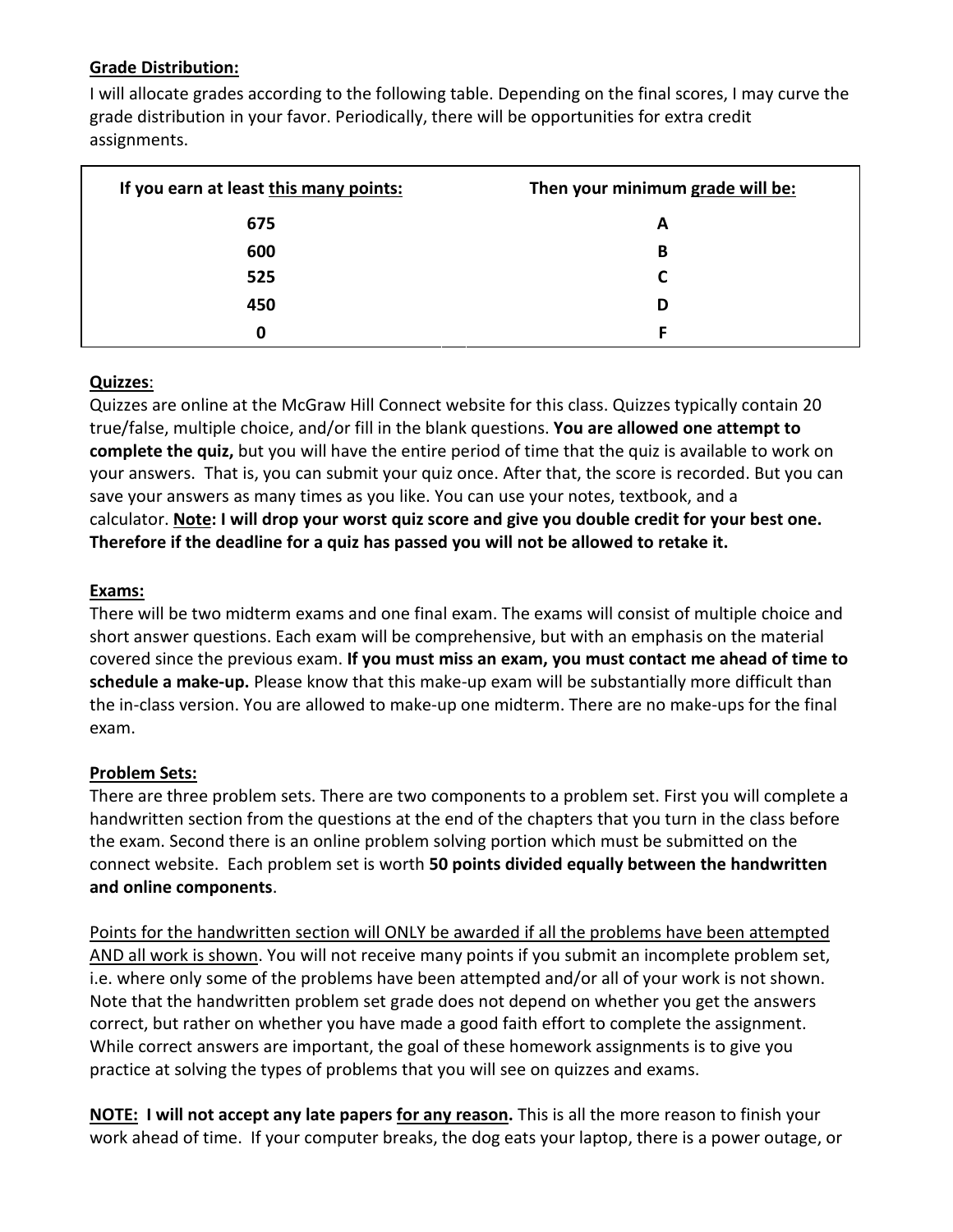# **Grade Distribution:**

I will allocate grades according to the following table. Depending on the final scores, I may curve the grade distribution in your favor. Periodically, there will be opportunities for extra credit assignments.

| If you earn at least this many points: | Then your minimum grade will be: |
|----------------------------------------|----------------------------------|
| 675                                    | A                                |
| 600                                    | в                                |
| 525                                    |                                  |
| 450                                    | D                                |
| 0                                      | F                                |

# **Quizzes**:

Quizzes are online at the McGraw Hill Connect website for this class. Quizzes typically contain 20 true/false, multiple choice, and/or fill in the blank questions. **You are allowed one attempt to complete the quiz,** but you will have the entire period of time that the quiz is available to work on your answers. That is, you can submit your quiz once. After that, the score is recorded. But you can save your answers as many times as you like. You can use your notes, textbook, and a calculator. **Note: I will drop your worst quiz score and give you double credit for your best one. Therefore if the deadline for a quiz has passed you will not be allowed to retake it.**

### **Exams:**

There will be two midterm exams and one final exam. The exams will consist of multiple choice and short answer questions. Each exam will be comprehensive, but with an emphasis on the material covered since the previous exam. **If you must miss an exam, you must contact me ahead of time to schedule a make-up.** Please know that this make-up exam will be substantially more difficult than the in-class version. You are allowed to make-up one midterm. There are no make-ups for the final exam.

# **Problem Sets:**

There are three problem sets. There are two components to a problem set. First you will complete a handwritten section from the questions at the end of the chapters that you turn in the class before the exam. Second there is an online problem solving portion which must be submitted on the connect website. Each problem set is worth **50 points divided equally between the handwritten and online components**.

Points for the handwritten section will ONLY be awarded if all the problems have been attempted AND all work is shown. You will not receive many points if you submit an incomplete problem set, i.e. where only some of the problems have been attempted and/or all of your work is not shown. Note that the handwritten problem set grade does not depend on whether you get the answers correct, but rather on whether you have made a good faith effort to complete the assignment. While correct answers are important, the goal of these homework assignments is to give you practice at solving the types of problems that you will see on quizzes and exams.

**NOTE: I will not accept any late papers for any reason.** This is all the more reason to finish your work ahead of time. If your computer breaks, the dog eats your laptop, there is a power outage, or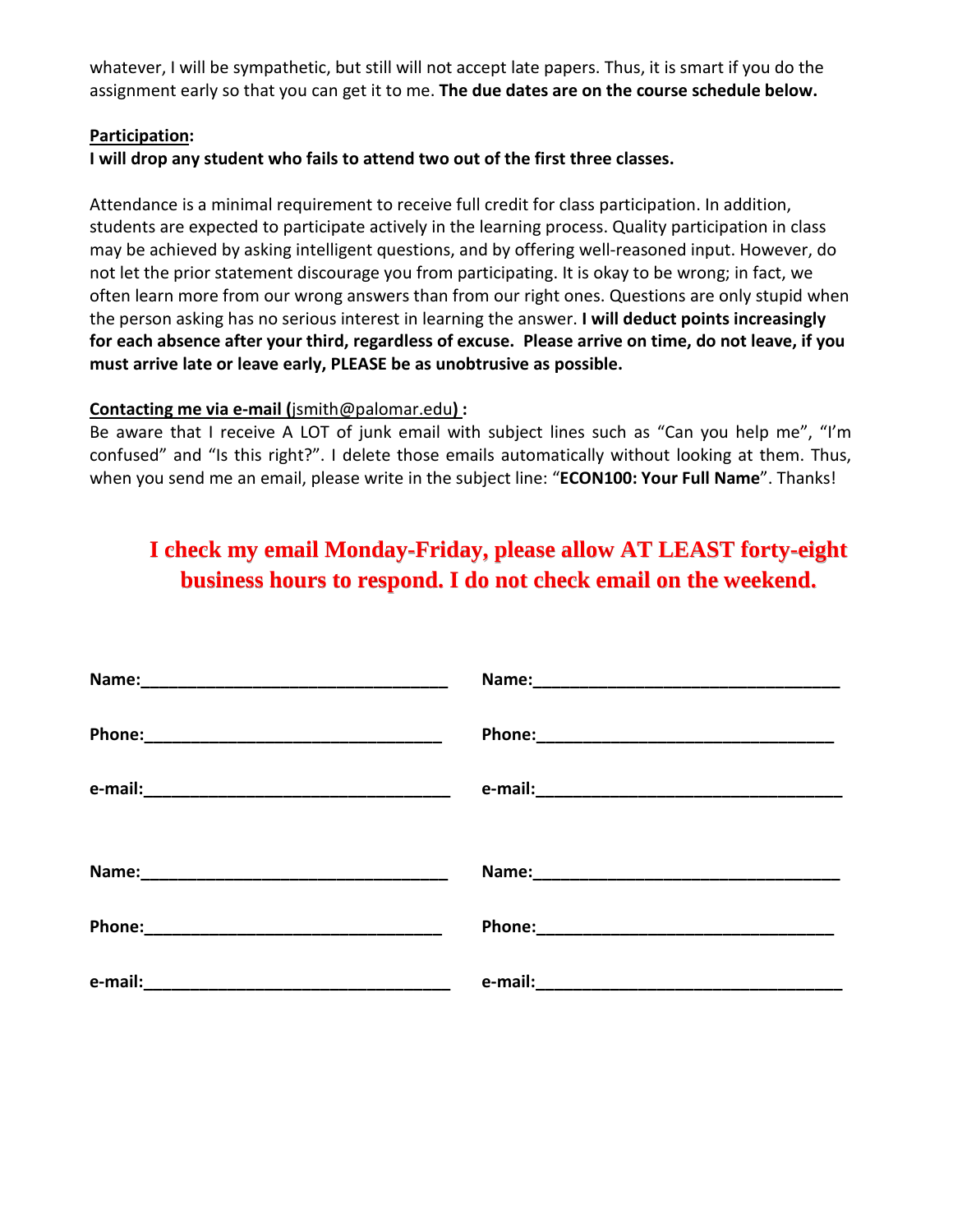whatever, I will be sympathetic, but still will not accept late papers. Thus, it is smart if you do the assignment early so that you can get it to me. **The due dates are on the course schedule below.**

#### **Participation:**

### **I will drop any student who fails to attend two out of the first three classes.**

Attendance is a minimal requirement to receive full credit for class participation. In addition, students are expected to participate actively in the learning process. Quality participation in class may be achieved by asking intelligent questions, and by offering well-reasoned input. However, do not let the prior statement discourage you from participating. It is okay to be wrong; in fact, we often learn more from our wrong answers than from our right ones. Questions are only stupid when the person asking has no serious interest in learning the answer. **I will deduct points increasingly for each absence after your third, regardless of excuse. Please arrive on time, do not leave, if you must arrive late or leave early, PLEASE be as unobtrusive as possible.**

### **Contacting me via e-mail (**jsmith@palomar.edu**) :**

Be aware that I receive A LOT of junk email with subject lines such as "Can you help me", "I'm confused" and "Is this right?". I delete those emails automatically without looking at them. Thus, when you send me an email, please write in the subject line: "**ECON100: Your Full Name**". Thanks!

# **I check my email Monday-Friday, please allow AT LEAST forty-eight business hours to respond. I do not check email on the weekend.**

| Phone: 2008 2010 2010 2010 2010 2010 2021 2022 2023 2024 2025 2020 2021 2022 2023 2024 2025 2026 2027 2028 20 |  |
|---------------------------------------------------------------------------------------------------------------|--|
|                                                                                                               |  |
|                                                                                                               |  |
|                                                                                                               |  |
|                                                                                                               |  |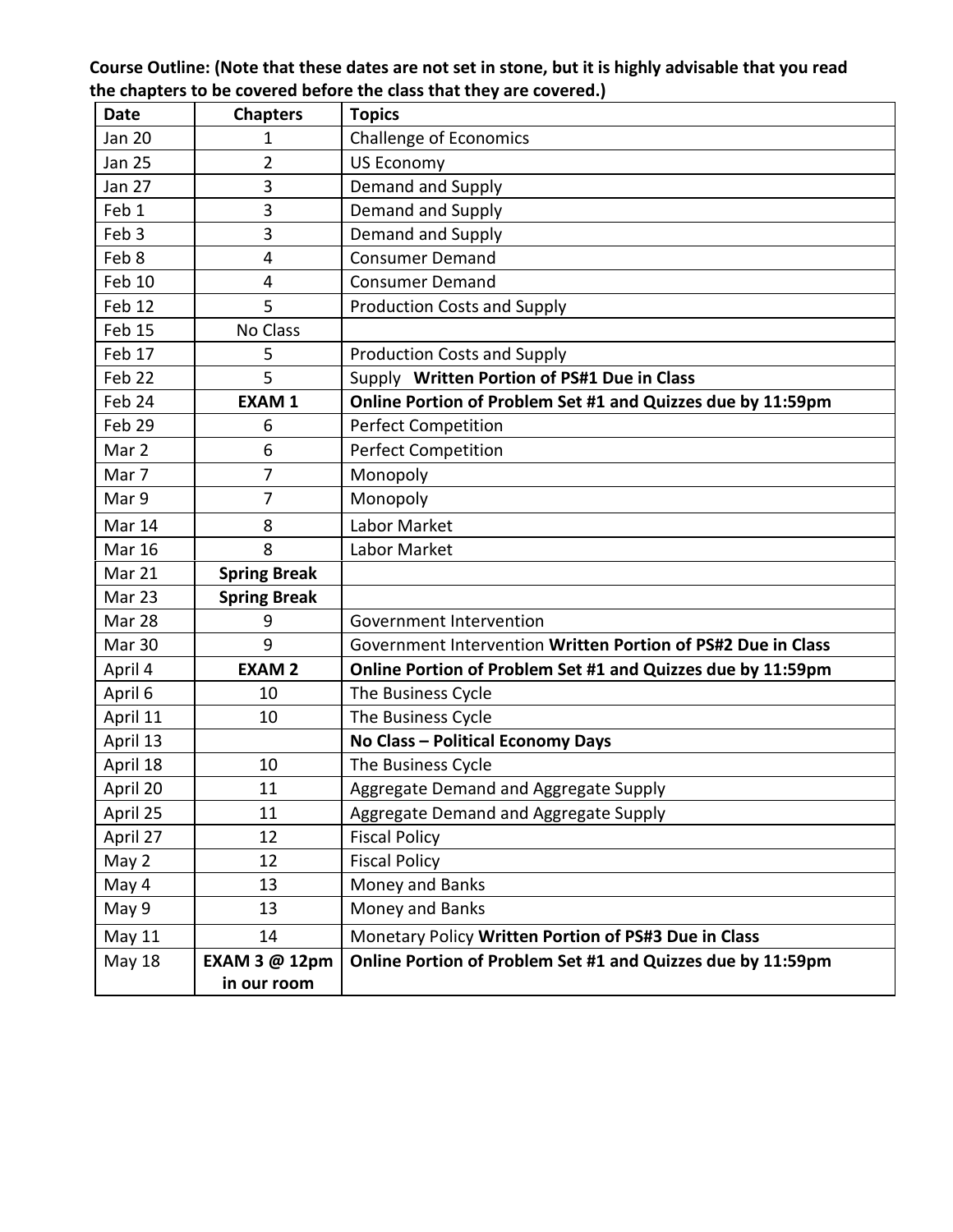**Course Outline: (Note that these dates are not set in stone, but it is highly advisable that you read the chapters to be covered before the class that they are covered.)**

| <b>Date</b>      | <b>Chapters</b>              | <b>Topics</b>                                                |
|------------------|------------------------------|--------------------------------------------------------------|
| <b>Jan 20</b>    | 1                            | <b>Challenge of Economics</b>                                |
| <b>Jan 25</b>    | 2                            | <b>US Economy</b>                                            |
| <b>Jan 27</b>    | 3                            | Demand and Supply                                            |
| Feb 1            | 3                            | Demand and Supply                                            |
| Feb <sub>3</sub> | 3                            | Demand and Supply                                            |
| Feb 8            | 4                            | <b>Consumer Demand</b>                                       |
| Feb 10           | 4                            | <b>Consumer Demand</b>                                       |
| Feb 12           | 5                            | <b>Production Costs and Supply</b>                           |
| Feb 15           | No Class                     |                                                              |
| Feb 17           | 5                            | <b>Production Costs and Supply</b>                           |
| Feb 22           | 5                            | Supply Written Portion of PS#1 Due in Class                  |
| Feb 24           | <b>EXAM1</b>                 | Online Portion of Problem Set #1 and Quizzes due by 11:59pm  |
| Feb 29           | 6                            | <b>Perfect Competition</b>                                   |
| Mar 2            | 6                            | <b>Perfect Competition</b>                                   |
| Mar 7            | 7                            | Monopoly                                                     |
| Mar 9            | 7                            | Monopoly                                                     |
| Mar 14           | 8                            | Labor Market                                                 |
| <b>Mar 16</b>    | 8                            | Labor Market                                                 |
| Mar 21           | <b>Spring Break</b>          |                                                              |
| Mar 23           | <b>Spring Break</b>          |                                                              |
| Mar 28           | 9                            | Government Intervention                                      |
| Mar 30           | 9                            | Government Intervention Written Portion of PS#2 Due in Class |
| April 4          | <b>EXAM2</b>                 | Online Portion of Problem Set #1 and Quizzes due by 11:59pm  |
| April 6          | 10                           | The Business Cycle                                           |
| April 11         | 10                           | The Business Cycle                                           |
| April 13         |                              | No Class - Political Economy Days                            |
| April 18         | 10                           | The Business Cycle                                           |
| April 20         | 11                           | Aggregate Demand and Aggregate Supply                        |
| April 25         | 11                           | Aggregate Demand and Aggregate Supply                        |
| April 27         | 12                           | <b>Fiscal Policy</b>                                         |
| May 2            | 12                           | <b>Fiscal Policy</b>                                         |
| May 4            | 13                           | Money and Banks                                              |
| May 9            | 13                           | Money and Banks                                              |
| May 11           | 14                           | Monetary Policy Written Portion of PS#3 Due in Class         |
| <b>May 18</b>    | EXAM 3 @ 12pm<br>in our room | Online Portion of Problem Set #1 and Quizzes due by 11:59pm  |